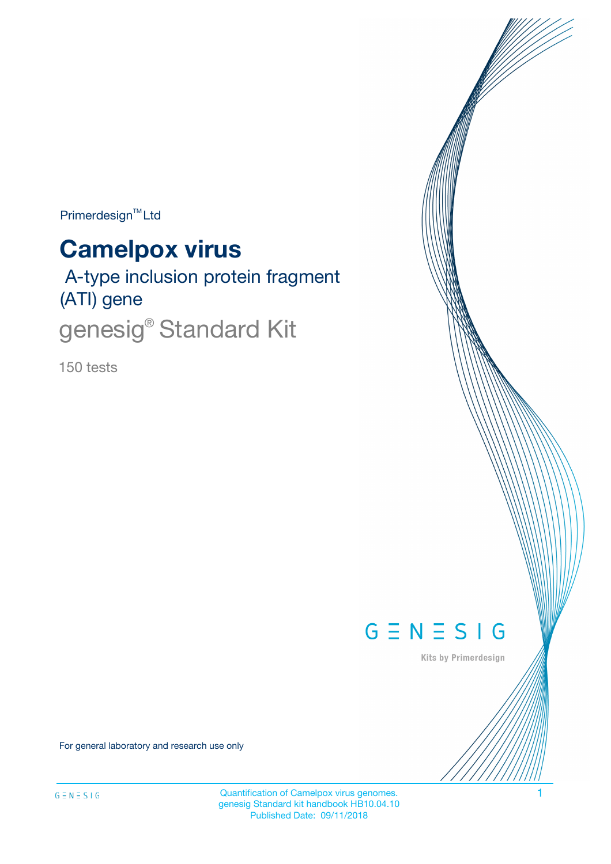Primerdesign<sup>™</sup>Ltd

# **Camelpox virus**

 A-type inclusion protein fragment (ATI) gene genesig<sup>®</sup> Standard Kit

150 tests



Kits by Primerdesign

For general laboratory and research use only

Quantification of Camelpox virus genomes. 1 genesig Standard kit handbook HB10.04.10 Published Date: 09/11/2018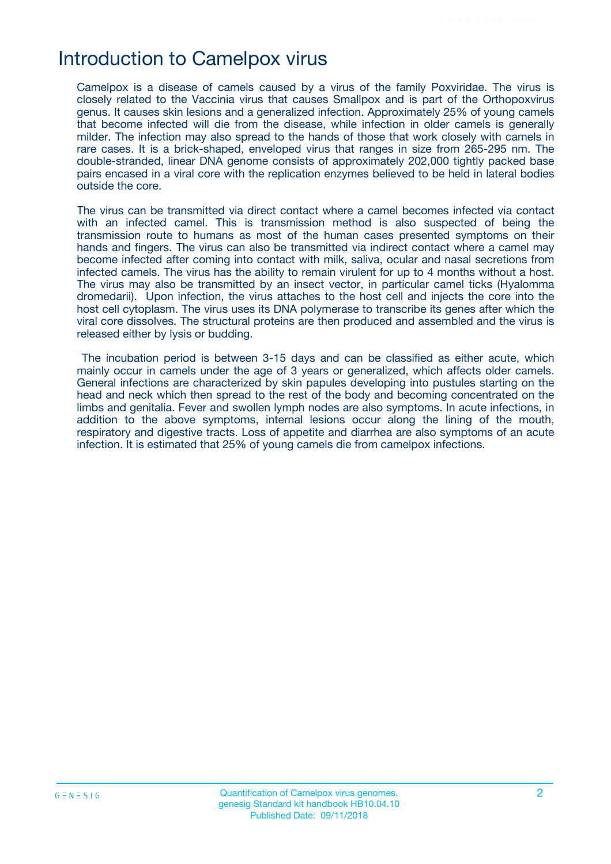### Introduction to Camelpox virus

Camelpox is a disease of camels caused by a virus of the family Poxviridae. The virus is closely related to the Vaccinia virus that causes Smallpox and is part of the Orthopoxvirus genus. It causes skin lesions and a generalized infection. Approximately 25% of young camels that become infected will die from the disease, while infection in older camels is generally milder. The infection may also spread to the hands of those that work closely with camels in rare cases. It is a brick-shaped, enveloped virus that ranges in size from 265-295 nm. The double-stranded, linear DNA genome consists of approximately 202,000 tightly packed base pairs encased in a viral core with the replication enzymes believed to be held in lateral bodies outside the core.

The virus can be transmitted via direct contact where a camel becomes infected via contact with an infected camel. This is transmission method is also suspected of being the transmission route to humans as most of the human cases presented symptoms on their hands and fingers. The virus can also be transmitted via indirect contact where a camel may become infected after coming into contact with milk, saliva, ocular and nasal secretions from infected camels. The virus has the ability to remain virulent for up to 4 months without a host. The virus may also be transmitted by an insect vector, in particular camel ticks (Hyalomma dromedarii). Upon infection, the virus attaches to the host cell and injects the core into the host cell cytoplasm. The virus uses its DNA polymerase to transcribe its genes after which the viral core dissolves. The structural proteins are then produced and assembled and the virus is released either by lysis or budding.

The incubation period is between 3-15 days and can be classified as either acute, which mainly occur in camels under the age of 3 years or generalized, which affects older camels. General infections are characterized by skin papules developing into pustules starting on the head and neck which then spread to the rest of the body and becoming concentrated on the limbs and genitalia. Fever and swollen lymph nodes are also symptoms. In acute infections, in addition to the above symptoms, internal lesions occur along the lining of the mouth, respiratory and digestive tracts. Loss of appetite and diarrhea are also symptoms of an acute infection. It is estimated that 25% of young camels die from camelpox infections.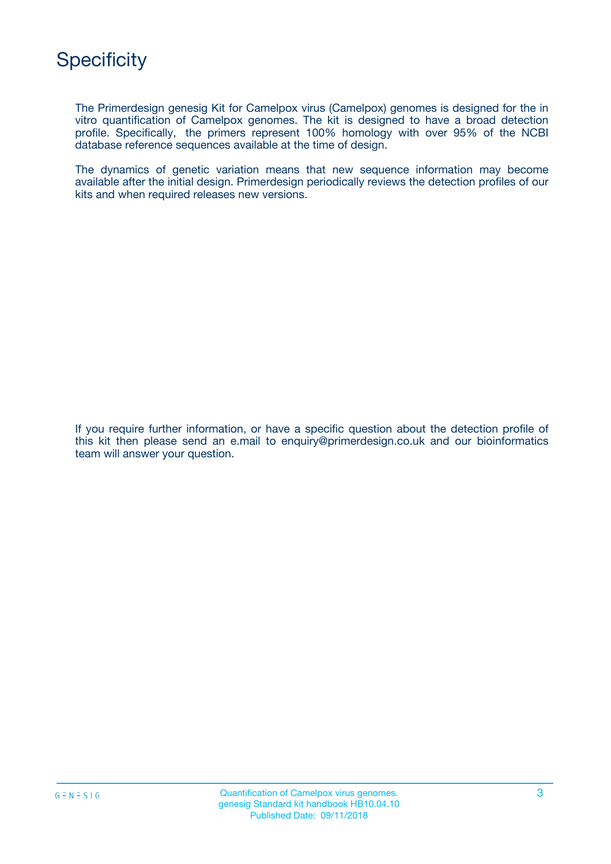The Primerdesign genesig Kit for Camelpox virus (Camelpox) genomes is designed for the in vitro quantification of Camelpox genomes. The kit is designed to have a broad detection profile. Specifically, the primers represent 100% homology with over 95% of the NCBI database reference sequences available at the time of design.

The dynamics of genetic variation means that new sequence information may become available after the initial design. Primerdesign periodically reviews the detection profiles of our kits and when required releases new versions.

If you require further information, or have a specific question about the detection profile of this kit then please send an e.mail to enquiry@primerdesign.co.uk and our bioinformatics team will answer your question.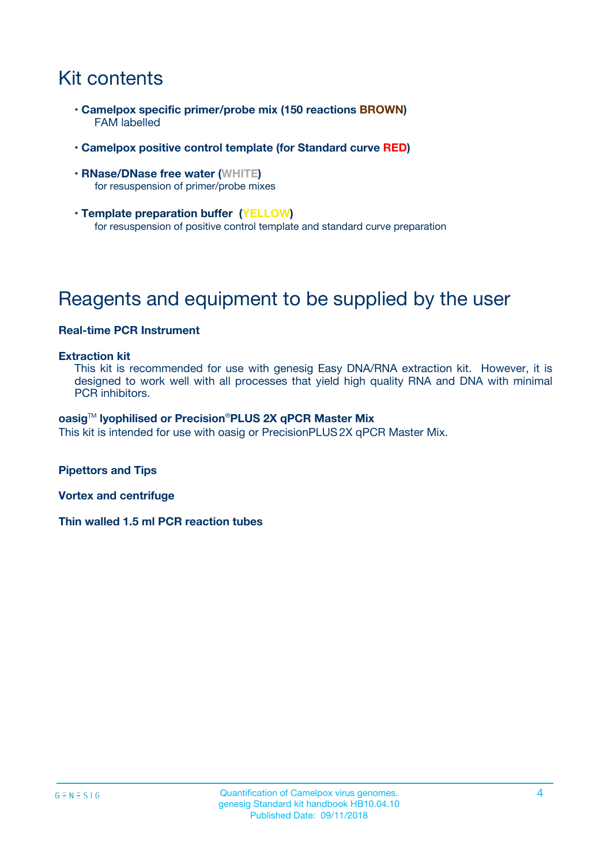# Kit contents

- **Camelpox specific primer/probe mix (150 reactions BROWN)** FAM labelled
- **Camelpox positive control template (for Standard curve RED)**
- **RNase/DNase free water (WHITE)** for resuspension of primer/probe mixes
- **Template preparation buffer (YELLOW)** for resuspension of positive control template and standard curve preparation

# Reagents and equipment to be supplied by the user

#### **Real-time PCR Instrument**

#### **Extraction kit**

This kit is recommended for use with genesig Easy DNA/RNA extraction kit. However, it is designed to work well with all processes that yield high quality RNA and DNA with minimal PCR inhibitors.

#### **oasig**TM **lyophilised or Precision**®**PLUS 2X qPCR Master Mix**

This kit is intended for use with oasig or PrecisionPLUS2X qPCR Master Mix.

**Pipettors and Tips**

**Vortex and centrifuge**

**Thin walled 1.5 ml PCR reaction tubes**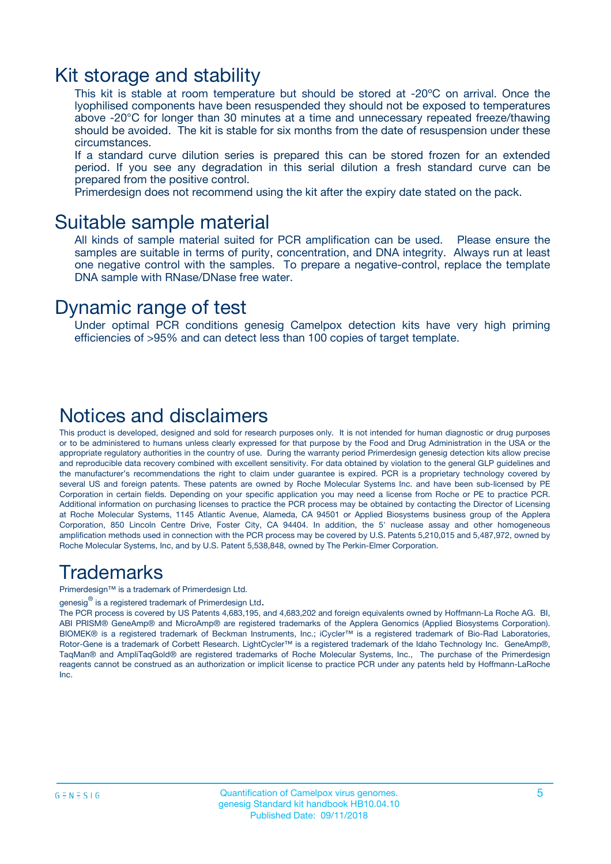### Kit storage and stability

This kit is stable at room temperature but should be stored at -20ºC on arrival. Once the lyophilised components have been resuspended they should not be exposed to temperatures above -20°C for longer than 30 minutes at a time and unnecessary repeated freeze/thawing should be avoided. The kit is stable for six months from the date of resuspension under these circumstances.

If a standard curve dilution series is prepared this can be stored frozen for an extended period. If you see any degradation in this serial dilution a fresh standard curve can be prepared from the positive control.

Primerdesign does not recommend using the kit after the expiry date stated on the pack.

### Suitable sample material

All kinds of sample material suited for PCR amplification can be used. Please ensure the samples are suitable in terms of purity, concentration, and DNA integrity. Always run at least one negative control with the samples. To prepare a negative-control, replace the template DNA sample with RNase/DNase free water.

### Dynamic range of test

Under optimal PCR conditions genesig Camelpox detection kits have very high priming efficiencies of >95% and can detect less than 100 copies of target template.

### Notices and disclaimers

This product is developed, designed and sold for research purposes only. It is not intended for human diagnostic or drug purposes or to be administered to humans unless clearly expressed for that purpose by the Food and Drug Administration in the USA or the appropriate regulatory authorities in the country of use. During the warranty period Primerdesign genesig detection kits allow precise and reproducible data recovery combined with excellent sensitivity. For data obtained by violation to the general GLP guidelines and the manufacturer's recommendations the right to claim under guarantee is expired. PCR is a proprietary technology covered by several US and foreign patents. These patents are owned by Roche Molecular Systems Inc. and have been sub-licensed by PE Corporation in certain fields. Depending on your specific application you may need a license from Roche or PE to practice PCR. Additional information on purchasing licenses to practice the PCR process may be obtained by contacting the Director of Licensing at Roche Molecular Systems, 1145 Atlantic Avenue, Alameda, CA 94501 or Applied Biosystems business group of the Applera Corporation, 850 Lincoln Centre Drive, Foster City, CA 94404. In addition, the 5' nuclease assay and other homogeneous amplification methods used in connection with the PCR process may be covered by U.S. Patents 5,210,015 and 5,487,972, owned by Roche Molecular Systems, Inc, and by U.S. Patent 5,538,848, owned by The Perkin-Elmer Corporation.

### Trademarks

Primerdesign™ is a trademark of Primerdesign Ltd.

genesig $^\circledR$  is a registered trademark of Primerdesign Ltd.

The PCR process is covered by US Patents 4,683,195, and 4,683,202 and foreign equivalents owned by Hoffmann-La Roche AG. BI, ABI PRISM® GeneAmp® and MicroAmp® are registered trademarks of the Applera Genomics (Applied Biosystems Corporation). BIOMEK® is a registered trademark of Beckman Instruments, Inc.; iCycler™ is a registered trademark of Bio-Rad Laboratories, Rotor-Gene is a trademark of Corbett Research. LightCycler™ is a registered trademark of the Idaho Technology Inc. GeneAmp®, TaqMan® and AmpliTaqGold® are registered trademarks of Roche Molecular Systems, Inc., The purchase of the Primerdesign reagents cannot be construed as an authorization or implicit license to practice PCR under any patents held by Hoffmann-LaRoche Inc.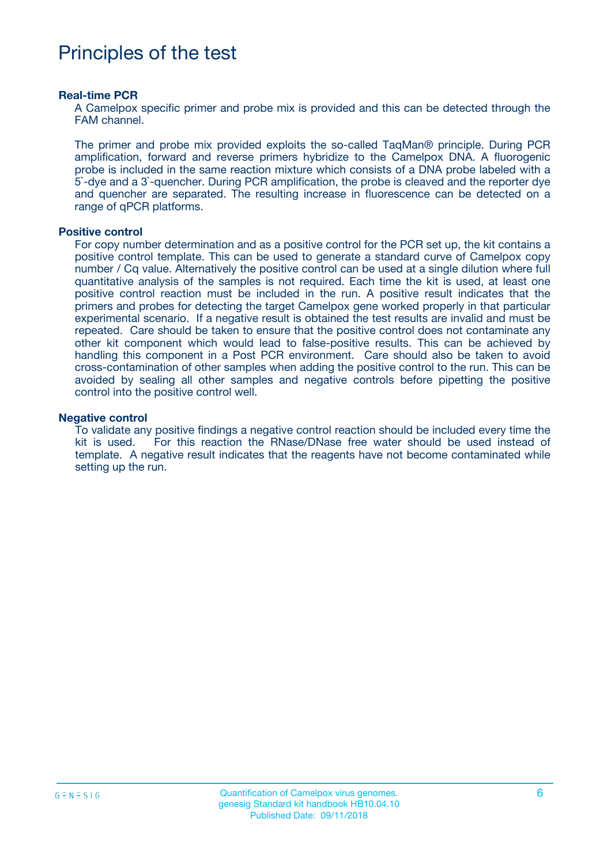### Principles of the test

#### **Real-time PCR**

A Camelpox specific primer and probe mix is provided and this can be detected through the FAM channel.

The primer and probe mix provided exploits the so-called TaqMan® principle. During PCR amplification, forward and reverse primers hybridize to the Camelpox DNA. A fluorogenic probe is included in the same reaction mixture which consists of a DNA probe labeled with a 5`-dye and a 3`-quencher. During PCR amplification, the probe is cleaved and the reporter dye and quencher are separated. The resulting increase in fluorescence can be detected on a range of qPCR platforms.

#### **Positive control**

For copy number determination and as a positive control for the PCR set up, the kit contains a positive control template. This can be used to generate a standard curve of Camelpox copy number / Cq value. Alternatively the positive control can be used at a single dilution where full quantitative analysis of the samples is not required. Each time the kit is used, at least one positive control reaction must be included in the run. A positive result indicates that the primers and probes for detecting the target Camelpox gene worked properly in that particular experimental scenario. If a negative result is obtained the test results are invalid and must be repeated. Care should be taken to ensure that the positive control does not contaminate any other kit component which would lead to false-positive results. This can be achieved by handling this component in a Post PCR environment. Care should also be taken to avoid cross-contamination of other samples when adding the positive control to the run. This can be avoided by sealing all other samples and negative controls before pipetting the positive control into the positive control well.

#### **Negative control**

To validate any positive findings a negative control reaction should be included every time the kit is used. For this reaction the RNase/DNase free water should be used instead of template. A negative result indicates that the reagents have not become contaminated while setting up the run.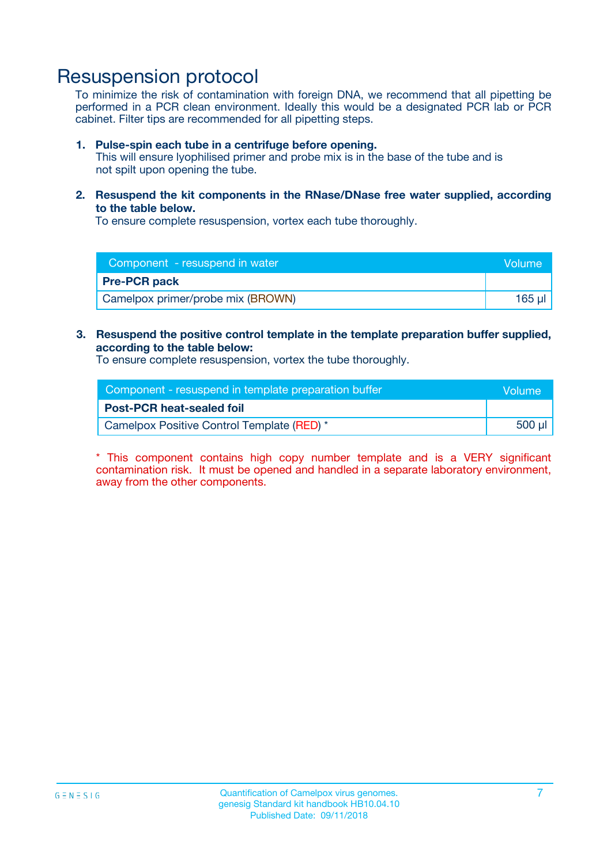### Resuspension protocol

To minimize the risk of contamination with foreign DNA, we recommend that all pipetting be performed in a PCR clean environment. Ideally this would be a designated PCR lab or PCR cabinet. Filter tips are recommended for all pipetting steps.

#### **1. Pulse-spin each tube in a centrifuge before opening.**

This will ensure lyophilised primer and probe mix is in the base of the tube and is not spilt upon opening the tube.

**2. Resuspend the kit components in the RNase/DNase free water supplied, according to the table below.**

To ensure complete resuspension, vortex each tube thoroughly.

| Component - resuspend in water    |        |
|-----------------------------------|--------|
| <b>Pre-PCR pack</b>               |        |
| Camelpox primer/probe mix (BROWN) | 165 µl |

#### **3. Resuspend the positive control template in the template preparation buffer supplied, according to the table below:**

To ensure complete resuspension, vortex the tube thoroughly.

| Component - resuspend in template preparation buffer |        |  |
|------------------------------------------------------|--------|--|
| <b>Post-PCR heat-sealed foil</b>                     |        |  |
| Camelpox Positive Control Template (RED) *           | 500 µl |  |

\* This component contains high copy number template and is a VERY significant contamination risk. It must be opened and handled in a separate laboratory environment, away from the other components.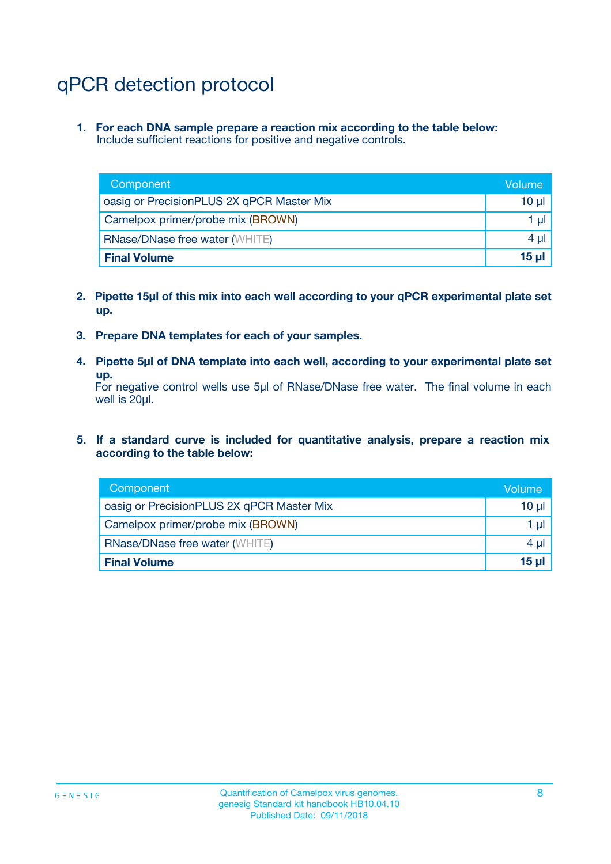# qPCR detection protocol

**1. For each DNA sample prepare a reaction mix according to the table below:** Include sufficient reactions for positive and negative controls.

| Component                                 | Volume           |
|-------------------------------------------|------------------|
| oasig or PrecisionPLUS 2X qPCR Master Mix | 10 $\mu$         |
| Camelpox primer/probe mix (BROWN)         | 1 $\mu$          |
| <b>RNase/DNase free water (WHITE)</b>     | $4 \mu$          |
| <b>Final Volume</b>                       | 15 <sub>ul</sub> |

- **2. Pipette 15µl of this mix into each well according to your qPCR experimental plate set up.**
- **3. Prepare DNA templates for each of your samples.**
- **4. Pipette 5µl of DNA template into each well, according to your experimental plate set up.**

For negative control wells use 5µl of RNase/DNase free water. The final volume in each well is 20µl.

**5. If a standard curve is included for quantitative analysis, prepare a reaction mix according to the table below:**

| Component                                 | Volume   |
|-------------------------------------------|----------|
| oasig or PrecisionPLUS 2X qPCR Master Mix | 10 µl    |
| Camelpox primer/probe mix (BROWN)         | 1 µI     |
| <b>RNase/DNase free water (WHITE)</b>     | $4 \mu$  |
| <b>Final Volume</b>                       | $15 \mu$ |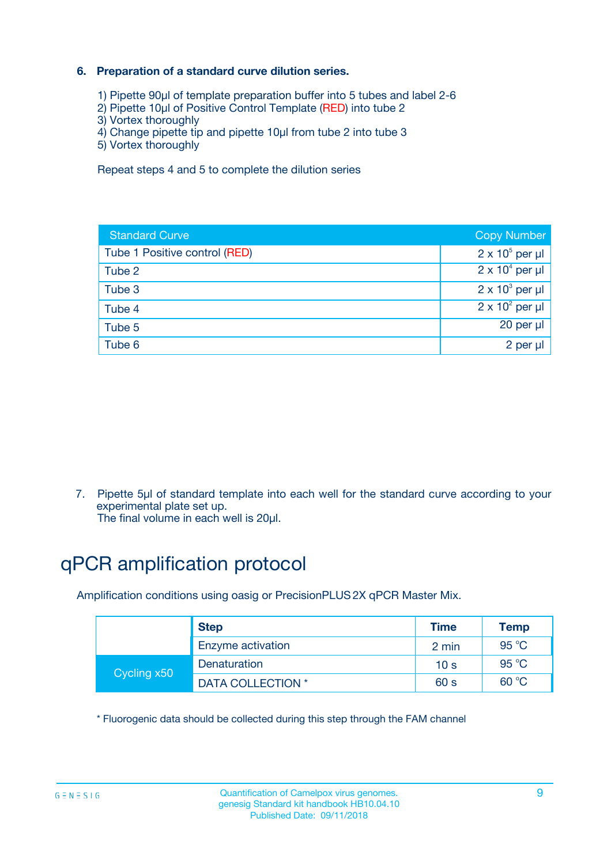#### **6. Preparation of a standard curve dilution series.**

- 1) Pipette 90µl of template preparation buffer into 5 tubes and label 2-6
- 2) Pipette 10µl of Positive Control Template (RED) into tube 2
- 3) Vortex thoroughly
- 4) Change pipette tip and pipette 10µl from tube 2 into tube 3
- 5) Vortex thoroughly

Repeat steps 4 and 5 to complete the dilution series

| <b>Standard Curve</b>         | <b>Copy Number</b>     |
|-------------------------------|------------------------|
| Tube 1 Positive control (RED) | $2 \times 10^5$ per µl |
| Tube 2                        | $2 \times 10^4$ per µl |
| Tube 3                        | $2 \times 10^3$ per µl |
| Tube 4                        | $2 \times 10^2$ per µl |
| Tube 5                        | 20 per µl              |
| Tube 6                        | 2 per ul               |

7. Pipette 5µl of standard template into each well for the standard curve according to your experimental plate set up.

The final volume in each well is 20µl.

# qPCR amplification protocol

Amplification conditions using oasig or PrecisionPLUS2X qPCR Master Mix.

|             | <b>Step</b>       | <b>Time</b>     | Temp    |
|-------------|-------------------|-----------------|---------|
|             | Enzyme activation | 2 min           | 95 °C   |
| Cycling x50 | Denaturation      | 10 <sub>s</sub> | 95 $°C$ |
|             | DATA COLLECTION * | 60 s            | 60 °C   |

\* Fluorogenic data should be collected during this step through the FAM channel